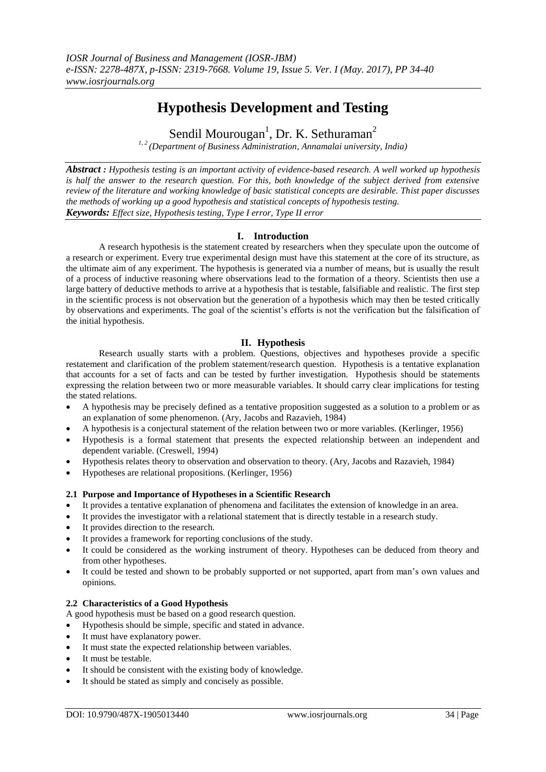# **Hypothesis Development and Testing**

Sendil Mourougan<sup>1</sup>, Dr. K. Sethuraman<sup>2</sup>

*1, 2 (Department of Business Administration, Annamalai university, India)*

*Abstract : Hypothesis testing is an important activity of evidence-based research. A well worked up hypothesis is half the answer to the research question. For this, both knowledge of the subject derived from extensive review of the literature and working knowledge of basic statistical concepts are desirable. Thist paper discusses the methods of working up a good hypothesis and statistical concepts of hypothesis testing. Keywords: Effect size, Hypothesis testing, Type I error, Type II error*

# **I. Introduction**

A research hypothesis is the statement created by researchers when they speculate upon the outcome of a research or experiment. Every true experimental design must have this statement at the core of its structure, as the ultimate aim of any experiment. The hypothesis is generated via a number of means, but is usually the result of a process of inductive reasoning where observations lead to the formation of a theory. Scientists then use a large battery of deductive methods to arrive at a hypothesis that is testable, falsifiable and realistic. The first step in the scientific process is not observation but the generation of a hypothesis which may then be tested critically by observations and experiments. The goal of the scientist's efforts is not the verification but the falsification of the initial hypothesis.

# **II. Hypothesis**

Research usually starts with a problem. Questions, objectives and hypotheses provide a specific restatement and clarification of the problem statement/research question. Hypothesis is a tentative explanation that accounts for a set of facts and can be tested by further investigation. Hypothesis should be statements expressing the relation between two or more measurable variables. It should carry clear implications for testing the stated relations.

- A hypothesis may be precisely defined as a tentative proposition suggested as a solution to a problem or as an explanation of some phenomenon. (Ary, Jacobs and Razavieh, 1984)
- A hypothesis is a conjectural statement of the relation between two or more variables. (Kerlinger, 1956)
- Hypothesis is a formal statement that presents the expected relationship between an independent and dependent variable. (Creswell, 1994)
- Hypothesis relates theory to observation and observation to theory. (Ary, Jacobs and Razavieh, 1984)
- Hypotheses are relational propositions. (Kerlinger, 1956)

# **2.1 Purpose and Importance of Hypotheses in a Scientific Research**

- It provides a tentative explanation of phenomena and facilitates the extension of knowledge in an area.
- It provides the investigator with a relational statement that is directly testable in a research study.
- It provides direction to the research.
- It provides a framework for reporting conclusions of the study.
- It could be considered as the working instrument of theory. Hypotheses can be deduced from theory and from other hypotheses.
- It could be tested and shown to be probably supported or not supported, apart from man's own values and opinions.

# **2.2 Characteristics of a Good Hypothesis**

A good hypothesis must be based on a good research question.

- Hypothesis should be simple, specific and stated in advance.
- It must have explanatory power.
- It must state the expected relationship between variables.
- It must be testable.
- It should be consistent with the existing body of knowledge.
- It should be stated as simply and concisely as possible.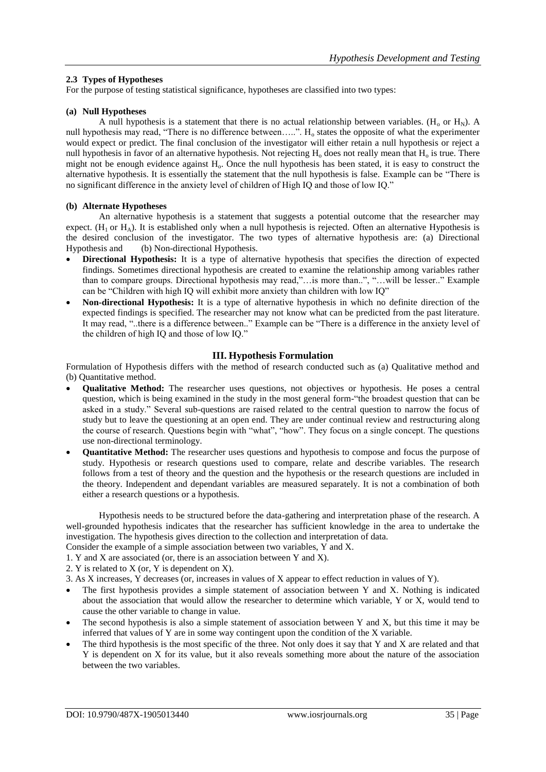## **2.3 Types of Hypotheses**

For the purpose of testing statistical significance, hypotheses are classified into two types:

## **(a) Null Hypotheses**

A null hypothesis is a statement that there is no actual relationship between variables. ( $H_0$  or  $H_N$ ). A null hypothesis may read, "There is no difference between.....". H<sub>o</sub> states the opposite of what the experimenter would expect or predict. The final conclusion of the investigator will either retain a null hypothesis or reject a null hypothesis in favor of an alternative hypothesis. Not rejecting  $H_0$  does not really mean that  $H_0$  is true. There might not be enough evidence against  $H<sub>o</sub>$ . Once the null hypothesis has been stated, it is easy to construct the alternative hypothesis. It is essentially the statement that the null hypothesis is false. Example can be "There is no significant difference in the anxiety level of children of High IQ and those of low IQ."

#### **(b) Alternate Hypotheses**

An alternative hypothesis is a statement that suggests a potential outcome that the researcher may expect.  $(H_1$  or  $H_A$ ). It is established only when a null hypothesis is rejected. Often an alternative Hypothesis is the desired conclusion of the investigator. The two types of alternative hypothesis are: (a) Directional Hypothesis and (b) Non-directional Hypothesis.

- **Directional Hypothesis:** It is a type of alternative hypothesis that specifies the direction of expected findings. Sometimes directional hypothesis are created to examine the relationship among variables rather than to compare groups. Directional hypothesis may read,"…is more than..", "…will be lesser.." Example can be "Children with high IQ will exhibit more anxiety than children with low IQ"
- **Non-directional Hypothesis:** It is a type of alternative hypothesis in which no definite direction of the expected findings is specified. The researcher may not know what can be predicted from the past literature. It may read, "..there is a difference between.." Example can be "There is a difference in the anxiety level of the children of high IQ and those of low IQ."

## **III. Hypothesis Formulation**

Formulation of Hypothesis differs with the method of research conducted such as (a) Qualitative method and (b) Quantitative method.

- **Qualitative Method:** The researcher uses questions, not objectives or hypothesis. He poses a central question, which is being examined in the study in the most general form-"the broadest question that can be asked in a study." Several sub-questions are raised related to the central question to narrow the focus of study but to leave the questioning at an open end. They are under continual review and restructuring along the course of research. Questions begin with "what", "how". They focus on a single concept. The questions use non-directional terminology.
- **Quantitative Method:** The researcher uses questions and hypothesis to compose and focus the purpose of study. Hypothesis or research questions used to compare, relate and describe variables. The research follows from a test of theory and the question and the hypothesis or the research questions are included in the theory. Independent and dependant variables are measured separately. It is not a combination of both either a research questions or a hypothesis.

Hypothesis needs to be structured before the data-gathering and interpretation phase of the research. A well-grounded hypothesis indicates that the researcher has sufficient knowledge in the area to undertake the investigation. The hypothesis gives direction to the collection and interpretation of data.

Consider the example of a simple association between two variables, Y and X.

- 1. Y and X are associated (or, there is an association between Y and X).
- 2. Y is related to X (or, Y is dependent on X).

3. As X increases, Y decreases (or, increases in values of X appear to effect reduction in values of Y).

- The first hypothesis provides a simple statement of association between Y and X. Nothing is indicated about the association that would allow the researcher to determine which variable, Y or X, would tend to cause the other variable to change in value.
- The second hypothesis is also a simple statement of association between Y and X, but this time it may be inferred that values of Y are in some way contingent upon the condition of the X variable.
- The third hypothesis is the most specific of the three. Not only does it say that Y and X are related and that Y is dependent on X for its value, but it also reveals something more about the nature of the association between the two variables.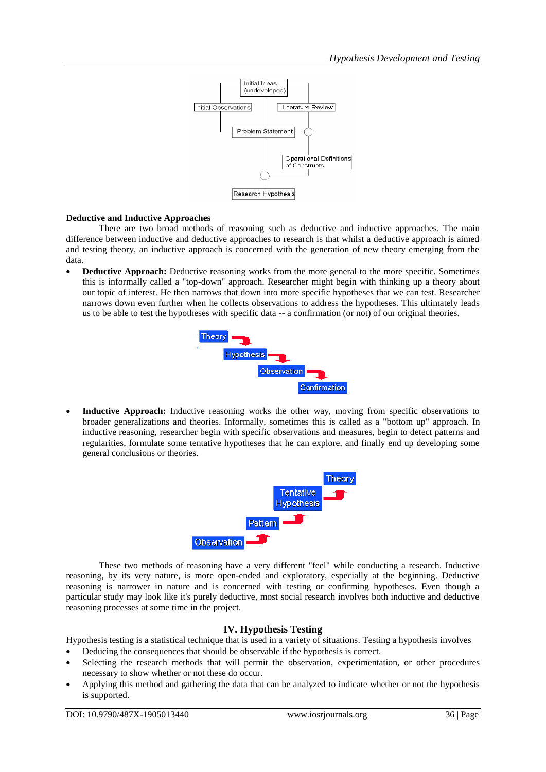

# **Deductive and Inductive Approaches**

There are two broad methods of reasoning such as deductive and inductive approaches. The main difference between inductive and deductive approaches to research is that whilst a deductive approach is aimed and testing theory, an inductive approach is concerned with the generation of new theory emerging from the data.

 **Deductive Approach:** Deductive reasoning works from the more general to the more specific. Sometimes this is informally called a "top-down" approach. Researcher might begin with thinking up a theory about our topic of interest. He then narrows that down into more specific hypotheses that we can test. Researcher narrows down even further when he collects observations to address the hypotheses. This ultimately leads us to be able to test the hypotheses with specific data -- a confirmation (or not) of our original theories.



 **Inductive Approach:** Inductive reasoning works the other way, moving from specific observations to broader generalizations and theories. Informally, sometimes this is called as a "bottom up" approach. In inductive reasoning, researcher begin with specific observations and measures, begin to detect patterns and regularities, formulate some tentative hypotheses that he can explore, and finally end up developing some general conclusions or theories.



These two methods of reasoning have a very different "feel" while conducting a research. Inductive reasoning, by its very nature, is more open-ended and exploratory, especially at the beginning. Deductive reasoning is narrower in nature and is concerned with testing or confirming hypotheses. Even though a particular study may look like it's purely deductive, most social research involves both inductive and deductive reasoning processes at some time in the project.

# **IV. Hypothesis Testing**

Hypothesis testing is a statistical technique that is used in a variety of situations. Testing a hypothesis involves Deducing the consequences that should be observable if the hypothesis is correct.

- Selecting the research methods that will permit the observation, experimentation, or other procedures necessary to show whether or not these do occur.
- Applying this method and gathering the data that can be analyzed to indicate whether or not the hypothesis is supported.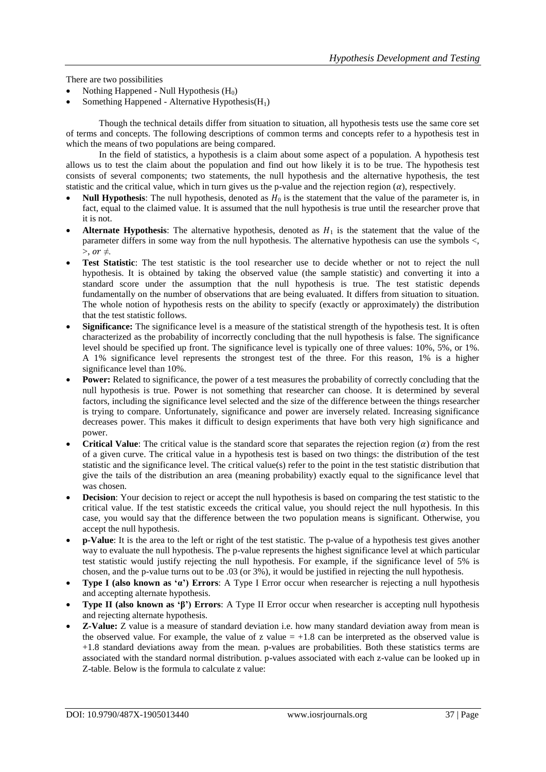There are two possibilities

- Nothing Happened Null Hypothesis  $(H_0)$
- Something Happened Alternative Hypothesis $(H_1)$

Though the technical details differ from situation to situation, all hypothesis tests use the same core set of terms and concepts. The following descriptions of common terms and concepts refer to a hypothesis test in which the means of two populations are being compared.

In the field of statistics, a hypothesis is a claim about some aspect of a population. A hypothesis test allows us to test the claim about the population and find out how likely it is to be true. The hypothesis test consists of several components; two statements, the null hypothesis and the alternative hypothesis, the test statistic and the critical value, which in turn gives us the p-value and the rejection region  $(a)$ , respectively.

- **Null Hypothesis**: The null hypothesis, denoted as  $H_0$  is the statement that the value of the parameter is, in fact, equal to the claimed value. It is assumed that the null hypothesis is true until the researcher prove that it is not.
- **Alternate Hypothesis**: The alternative hypothesis, denoted as  $H_1$  is the statement that the value of the parameter differs in some way from the null hypothesis. The alternative hypothesis can use the symbols <,  $>$ , or  $\neq$ .
- **Test Statistic**: The test statistic is the tool researcher use to decide whether or not to reject the null hypothesis. It is obtained by taking the observed value (the sample statistic) and converting it into a standard score under the assumption that the null hypothesis is true. The test statistic depends fundamentally on the number of observations that are being evaluated. It differs from situation to situation. The whole notion of hypothesis rests on the ability to specify (exactly or approximately) the distribution that the test statistic follows.
- **Significance:** The significance level is a measure of the statistical strength of the hypothesis test. It is often characterized as the probability of incorrectly concluding that the null hypothesis is false. The significance level should be specified up front. The significance level is typically one of three values: 10%, 5%, or 1%. A 1% significance level represents the strongest test of the three. For this reason, 1% is a higher significance level than 10%.
- **Power:** Related to significance, the power of a test measures the probability of correctly concluding that the null hypothesis is true. Power is not something that researcher can choose. It is determined by several factors, including the significance level selected and the size of the difference between the things researcher is trying to compare. Unfortunately, significance and power are inversely related. Increasing significance decreases power. This makes it difficult to design experiments that have both very high significance and power.
- **Critical Value**: The critical value is the standard score that separates the rejection region  $(\alpha)$  from the rest of a given curve. The critical value in a hypothesis test is based on two things: the distribution of the test statistic and the significance level. The critical value(s) refer to the point in the test statistic distribution that give the tails of the distribution an area (meaning probability) exactly equal to the significance level that was chosen.
- **Decision**: Your decision to reject or accept the null hypothesis is based on comparing the test statistic to the critical value. If the test statistic exceeds the critical value, you should reject the null hypothesis. In this case, you would say that the difference between the two population means is significant. Otherwise, you accept the null hypothesis.
- **p-Value**: It is the area to the left or right of the test statistic. The p-value of a hypothesis test gives another way to evaluate the null hypothesis. The p-value represents the highest significance level at which particular test statistic would justify rejecting the null hypothesis. For example, if the significance level of 5% is chosen, and the p-value turns out to be .03 (or 3%), it would be justified in rejecting the null hypothesis.
- **Type I (also known as 'α') Errors**: A Type I Error occur when researcher is rejecting a null hypothesis and accepting alternate hypothesis.
- **Type II (also known as 'β') Errors**: A Type II Error occur when researcher is accepting null hypothesis and rejecting alternate hypothesis.
- **Z-Value:** Z value is a measure of standard deviation i.e. how many standard deviation away from mean is the observed value. For example, the value of z value  $= +1.8$  can be interpreted as the observed value is +1.8 standard deviations away from the mean. p-values are probabilities. Both these statistics terms are associated with the standard normal distribution. p-values associated with each z-value can be looked up in Z-table. Below is the formula to calculate z value: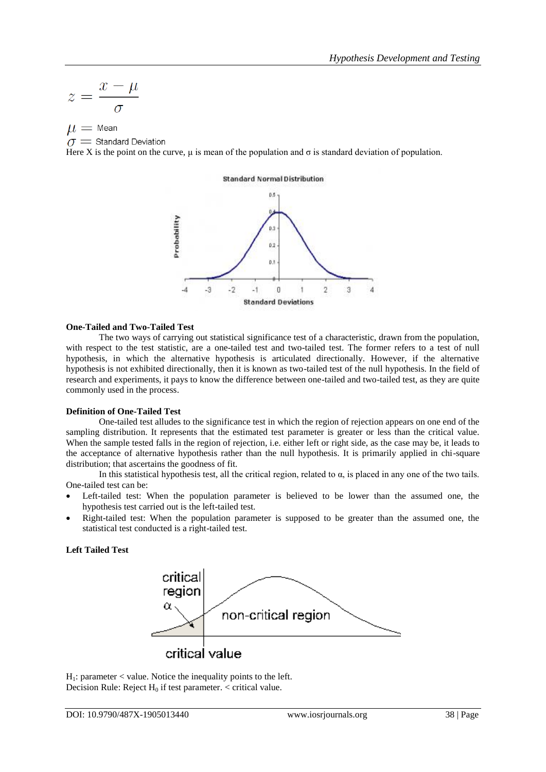$$
z = \frac{x - \mu}{\sigma}
$$

 $\mu = \text{Mean}$ 

 $\sigma$  = Standard Deviation

Here X is the point on the curve,  $\mu$  is mean of the population and  $\sigma$  is standard deviation of population.



#### **One-Tailed and Two-Tailed Test**

The two ways of carrying out statistical significance test of a characteristic, drawn from the population, with respect to the test statistic, are a one-tailed test and two-tailed test. The former refers to a test of null hypothesis, in which the alternative hypothesis is articulated directionally. However, if the alternative hypothesis is not exhibited directionally, then it is known as two-tailed test of the null hypothesis. In the field of research and experiments, it pays to know the difference between one-tailed and two-tailed test, as they are quite commonly used in the process.

#### **Definition of One-Tailed Test**

One-tailed test alludes to the significance test in which the region of rejection appears on one end of the sampling distribution. It represents that the estimated test parameter is greater or less than the critical value. When the sample tested falls in the region of rejection, i.e. either left or right side, as the case may be, it leads to the acceptance of alternative hypothesis rather than the null hypothesis. It is primarily applied in chi-square distribution; that ascertains the goodness of fit.

In this statistical hypothesis test, all the critical region, related to  $\alpha$ , is placed in any one of the two tails. One-tailed test can be:

- Left-tailed test: When the population parameter is believed to be lower than the assumed one, the hypothesis test carried out is the left-tailed test.
- Right-tailed test: When the population parameter is supposed to be greater than the assumed one, the statistical test conducted is a right-tailed test.

## **Left Tailed Test**



 $H_1$ : parameter < value. Notice the inequality points to the left. Decision Rule: Reject  $H_0$  if test parameter.  $\lt$  critical value.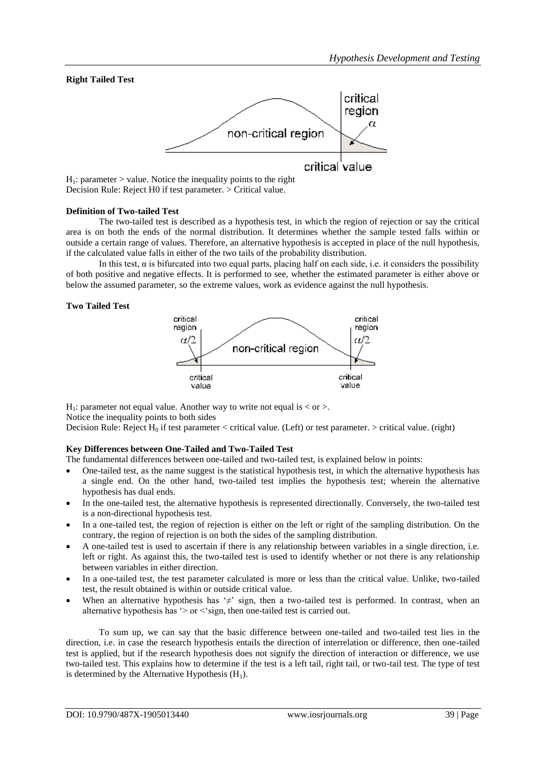## **Right Tailed Test**



 $H_1$ : parameter > value. Notice the inequality points to the right Decision Rule: Reject H0 if test parameter. > Critical value.

#### **Definition of Two-tailed Test**

The two-tailed test is described as a hypothesis test, in which the region of rejection or say the critical area is on both the ends of the normal distribution. It determines whether the sample tested falls within or outside a certain range of values. Therefore, an alternative hypothesis is accepted in place of the null hypothesis, if the calculated value falls in either of the two tails of the probability distribution.

In this test, α is bifurcated into two equal parts, placing half on each side, i.e. it considers the possibility of both positive and negative effects. It is performed to see, whether the estimated parameter is either above or below the assumed parameter, so the extreme values, work as evidence against the null hypothesis.

#### **Two Tailed Test**



H<sub>1</sub>: parameter not equal value. Another way to write not equal is  $\langle$  or  $\rangle$ . Notice the inequality points to both sides

Decision Rule: Reject  $H_0$  if test parameter < critical value. (Left) or test parameter. > critical value. (right)

#### **Key Differences between One-Tailed and Two-Tailed Test**

The fundamental differences between one-tailed and two-tailed test, is explained below in points:

- One-tailed test, as the name suggest is the statistical hypothesis test, in which the alternative hypothesis has a single end. On the other hand, two-tailed test implies the hypothesis test; wherein the alternative hypothesis has dual ends.
- In the one-tailed test, the alternative hypothesis is represented directionally. Conversely, the two-tailed test is a non-directional hypothesis test.
- In a one-tailed test, the region of rejection is either on the left or right of the sampling distribution. On the contrary, the region of rejection is on both the sides of the sampling distribution.
- A one-tailed test is used to ascertain if there is any relationship between variables in a single direction, i.e. left or right. As against this, the two-tailed test is used to identify whether or not there is any relationship between variables in either direction.
- In a one-tailed test, the test parameter calculated is more or less than the critical value. Unlike, two-tailed test, the result obtained is within or outside critical value.
- When an alternative hypothesis has ' $\neq$ ' sign, then a two-tailed test is performed. In contrast, when an alternative hypothesis has '> or <'sign, then one-tailed test is carried out.

To sum up, we can say that the basic difference between one-tailed and two-tailed test lies in the direction, i.e. in case the research hypothesis entails the direction of interrelation or difference, then one-tailed test is applied, but if the research hypothesis does not signify the direction of interaction or difference, we use two-tailed test. This explains how to determine if the test is a left tail, right tail, or two-tail test. The type of test is determined by the Alternative Hypothesis  $(H_1)$ .